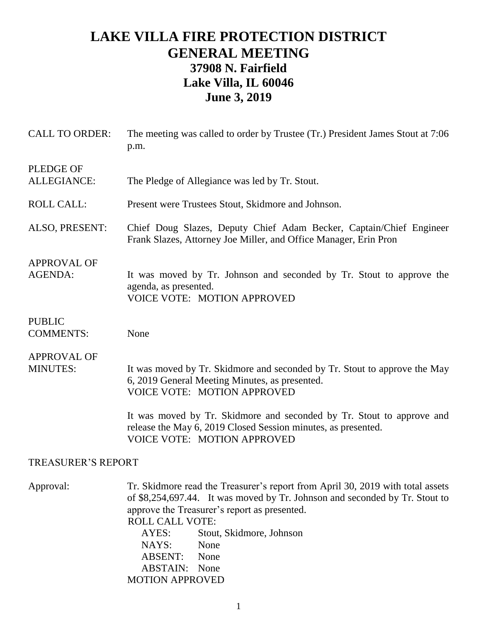## **LAKE VILLA FIRE PROTECTION DISTRICT GENERAL MEETING 37908 N. Fairfield Lake Villa, IL 60046 June 3, 2019**

| <b>CALL TO ORDER:</b>                 | The meeting was called to order by Trustee (Tr.) President James Stout at 7:06<br>p.m.                                                                                                                                                                                                                                                                                       |
|---------------------------------------|------------------------------------------------------------------------------------------------------------------------------------------------------------------------------------------------------------------------------------------------------------------------------------------------------------------------------------------------------------------------------|
| <b>PLEDGE OF</b><br>ALLEGIANCE:       | The Pledge of Allegiance was led by Tr. Stout.                                                                                                                                                                                                                                                                                                                               |
| <b>ROLL CALL:</b>                     | Present were Trustees Stout, Skidmore and Johnson.                                                                                                                                                                                                                                                                                                                           |
| ALSO, PRESENT:                        | Chief Doug Slazes, Deputy Chief Adam Becker, Captain/Chief Engineer<br>Frank Slazes, Attorney Joe Miller, and Office Manager, Erin Pron                                                                                                                                                                                                                                      |
| <b>APPROVAL OF</b><br><b>AGENDA:</b>  | It was moved by Tr. Johnson and seconded by Tr. Stout to approve the<br>agenda, as presented.<br><b>VOICE VOTE: MOTION APPROVED</b>                                                                                                                                                                                                                                          |
| <b>PUBLIC</b><br><b>COMMENTS:</b>     | None                                                                                                                                                                                                                                                                                                                                                                         |
| <b>APPROVAL OF</b><br><b>MINUTES:</b> | It was moved by Tr. Skidmore and seconded by Tr. Stout to approve the May<br>6, 2019 General Meeting Minutes, as presented.<br><b>VOICE VOTE: MOTION APPROVED</b>                                                                                                                                                                                                            |
|                                       | It was moved by Tr. Skidmore and seconded by Tr. Stout to approve and<br>release the May 6, 2019 Closed Session minutes, as presented.<br><b>VOICE VOTE: MOTION APPROVED</b>                                                                                                                                                                                                 |
| <b>TREASURER'S REPORT</b>             |                                                                                                                                                                                                                                                                                                                                                                              |
| Approval:                             | Tr. Skidmore read the Treasurer's report from April 30, 2019 with total assets<br>of \$8,254,697.44. It was moved by Tr. Johnson and seconded by Tr. Stout to<br>approve the Treasurer's report as presented.<br><b>ROLL CALL VOTE:</b><br>AYES:<br>Stout, Skidmore, Johnson<br>NAYS:<br>None<br><b>ABSENT:</b><br>None<br><b>ABSTAIN:</b><br>None<br><b>MOTION APPROVED</b> |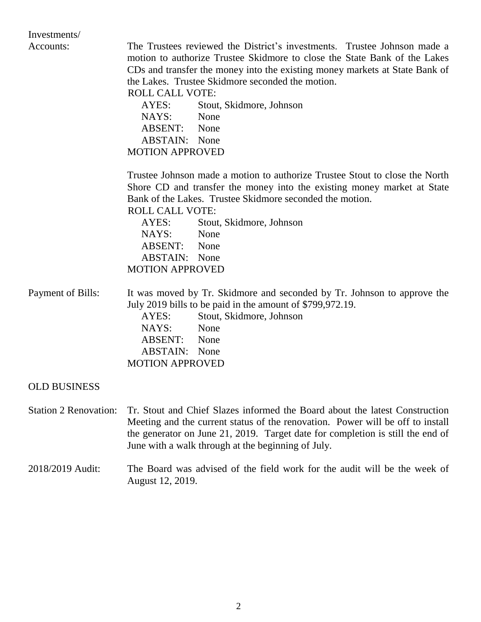| Investments/                 |                                                                                                                                                                                                                                                                                                                    |
|------------------------------|--------------------------------------------------------------------------------------------------------------------------------------------------------------------------------------------------------------------------------------------------------------------------------------------------------------------|
| Accounts:                    | The Trustees reviewed the District's investments. Trustee Johnson made a<br>motion to authorize Trustee Skidmore to close the State Bank of the Lakes<br>CDs and transfer the money into the existing money markets at State Bank of<br>the Lakes. Trustee Skidmore seconded the motion.<br><b>ROLL CALL VOTE:</b> |
|                              | Stout, Skidmore, Johnson<br>AYES:                                                                                                                                                                                                                                                                                  |
|                              | NAYS:<br>None                                                                                                                                                                                                                                                                                                      |
|                              | ABSENT: None                                                                                                                                                                                                                                                                                                       |
|                              | <b>ABSTAIN:</b> None                                                                                                                                                                                                                                                                                               |
|                              | <b>MOTION APPROVED</b>                                                                                                                                                                                                                                                                                             |
|                              | Trustee Johnson made a motion to authorize Trustee Stout to close the North<br>Shore CD and transfer the money into the existing money market at State<br>Bank of the Lakes. Trustee Skidmore seconded the motion.                                                                                                 |
|                              | <b>ROLL CALL VOTE:</b>                                                                                                                                                                                                                                                                                             |
|                              | AYES:<br>Stout, Skidmore, Johnson<br>NAYS:<br>None                                                                                                                                                                                                                                                                 |
|                              | ABSENT:<br>None                                                                                                                                                                                                                                                                                                    |
|                              |                                                                                                                                                                                                                                                                                                                    |
|                              | <b>ABSTAIN:</b> None                                                                                                                                                                                                                                                                                               |
|                              | <b>MOTION APPROVED</b>                                                                                                                                                                                                                                                                                             |
| Payment of Bills:            | It was moved by Tr. Skidmore and seconded by Tr. Johnson to approve the<br>July 2019 bills to be paid in the amount of \$799,972.19.                                                                                                                                                                               |
|                              | Stout, Skidmore, Johnson<br>AYES:                                                                                                                                                                                                                                                                                  |
|                              | NAYS:<br>None                                                                                                                                                                                                                                                                                                      |
|                              | ABSENT:<br>None                                                                                                                                                                                                                                                                                                    |
|                              | <b>ABSTAIN:</b> None                                                                                                                                                                                                                                                                                               |
|                              | <b>MOTION APPROVED</b>                                                                                                                                                                                                                                                                                             |
| <b>OLD BUSINESS</b>          |                                                                                                                                                                                                                                                                                                                    |
| <b>Station 2 Renovation:</b> | Tr. Stout and Chief Slazes informed the Board about the latest Construction<br>Meeting and the current status of the renovation. Power will be off to install<br>the generator on June 21, 2019. Target date for completion is still the end of<br>June with a walk through at the beginning of July.              |
| 2018/2019 Audit:             | The Board was advised of the field work for the audit will be the week of<br>August 12, 2019.                                                                                                                                                                                                                      |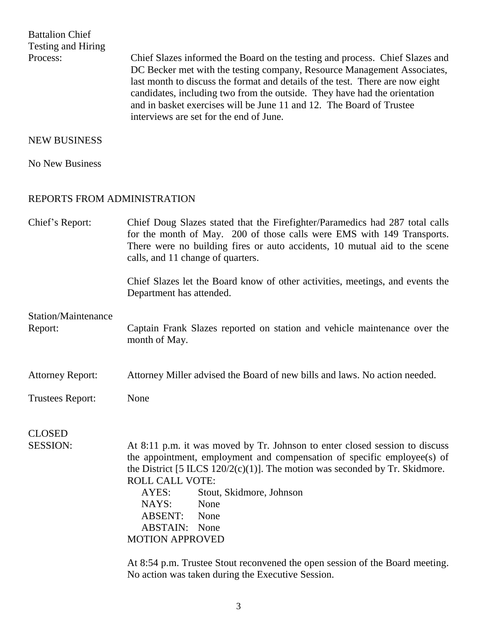Battalion Chief Testing and Hiring

Process: Chief Slazes informed the Board on the testing and process. Chief Slazes and DC Becker met with the testing company, Resource Management Associates, last month to discuss the format and details of the test. There are now eight candidates, including two from the outside. They have had the orientation and in basket exercises will be June 11 and 12. The Board of Trustee interviews are set for the end of June.

## NEW BUSINESS

No New Business

## REPORTS FROM ADMINISTRATION

| Chief's Report:                       | Chief Doug Slazes stated that the Firefighter/Paramedics had 287 total calls<br>for the month of May. 200 of those calls were EMS with 149 Transports.<br>There were no building fires or auto accidents, 10 mutual aid to the scene<br>calls, and 11 change of quarters.                                                                                                                                                                                                  |
|---------------------------------------|----------------------------------------------------------------------------------------------------------------------------------------------------------------------------------------------------------------------------------------------------------------------------------------------------------------------------------------------------------------------------------------------------------------------------------------------------------------------------|
|                                       | Chief Slazes let the Board know of other activities, meetings, and events the<br>Department has attended.                                                                                                                                                                                                                                                                                                                                                                  |
| <b>Station/Maintenance</b><br>Report: | Captain Frank Slazes reported on station and vehicle maintenance over the<br>month of May.                                                                                                                                                                                                                                                                                                                                                                                 |
| <b>Attorney Report:</b>               | Attorney Miller advised the Board of new bills and laws. No action needed.                                                                                                                                                                                                                                                                                                                                                                                                 |
| <b>Trustees Report:</b>               | None                                                                                                                                                                                                                                                                                                                                                                                                                                                                       |
| <b>CLOSED</b>                         |                                                                                                                                                                                                                                                                                                                                                                                                                                                                            |
| <b>SESSION:</b>                       | At 8:11 p.m. it was moved by Tr. Johnson to enter closed session to discuss<br>the appointment, employment and compensation of specific employee(s) of<br>the District [5 ILCS $120/2(c)(1)$ ]. The motion was seconded by Tr. Skidmore.<br><b>ROLL CALL VOTE:</b><br>Stout, Skidmore, Johnson<br>AYES:<br>None<br>NAYS:<br><b>ABSENT:</b><br>None<br><b>ABSTAIN:</b> None<br><b>MOTION APPROVED</b>                                                                       |
|                                       | $\mathbf{c}$ and $\mathbf{r}$ and $\mathbf{r}$<br>$\lambda$ , $\Omega$ , $\sigma$ , $\lambda$ , $\sigma$ , $\sigma$ , $\sigma$ , $\sigma$ , $\sigma$ , $\sigma$ , $\sigma$ , $\sigma$ , $\sigma$ , $\sigma$ , $\sigma$ , $\sigma$ , $\sigma$ , $\sigma$ , $\sigma$ , $\sigma$ , $\sigma$ , $\sigma$ , $\sigma$ , $\sigma$ , $\sigma$ , $\sigma$ , $\sigma$ , $\sigma$ , $\sigma$ , $\sigma$ , $\sigma$ , $\sigma$ , $\sigma$ , $\sigma$ , $\sigma$ , $\sigma$ , $\sigma$ , |

At 8:54 p.m. Trustee Stout reconvened the open session of the Board meeting. No action was taken during the Executive Session.